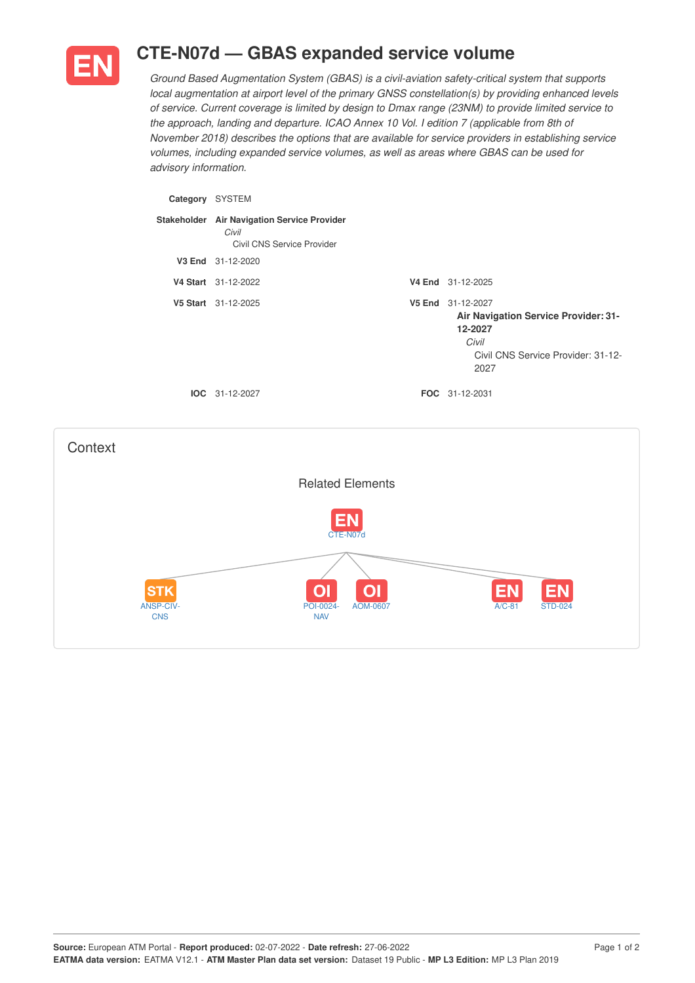

## **CTE-N07d — GBAS expanded service volume**

*Ground Based Augmentation System (GBAS) is a civil-aviation safety-critical system that supports local augmentation at airport level of the primary GNSS constellation(s) by providing enhanced levels of service. Current coverage is limited by design to Dmax range (23NM) to provide limited service to the approach, landing and departure. ICAO Annex 10 Vol. I edition 7 (applicable from 8th of November 2018) describes the options that are available for service providers in establishing service volumes, including expanded service volumes, as well as areas where GBAS can be used for advisory information.*

| Category | <b>SYSTEM</b>                                                                      |                                                                                                                             |
|----------|------------------------------------------------------------------------------------|-----------------------------------------------------------------------------------------------------------------------------|
|          | Stakeholder Air Navigation Service Provider<br>Civil<br>Civil CNS Service Provider |                                                                                                                             |
|          | V3 End 31-12-2020                                                                  |                                                                                                                             |
|          | V4 Start 31-12-2022                                                                | V4 End 31-12-2025                                                                                                           |
|          | V5 Start 31-12-2025                                                                | V5 End 31-12-2027<br>Air Navigation Service Provider: 31-<br>12-2027<br>Civil<br>Civil CNS Service Provider: 31-12-<br>2027 |
|          | $IOC 31-12-2027$                                                                   | <b>FOC</b> 31-12-2031                                                                                                       |